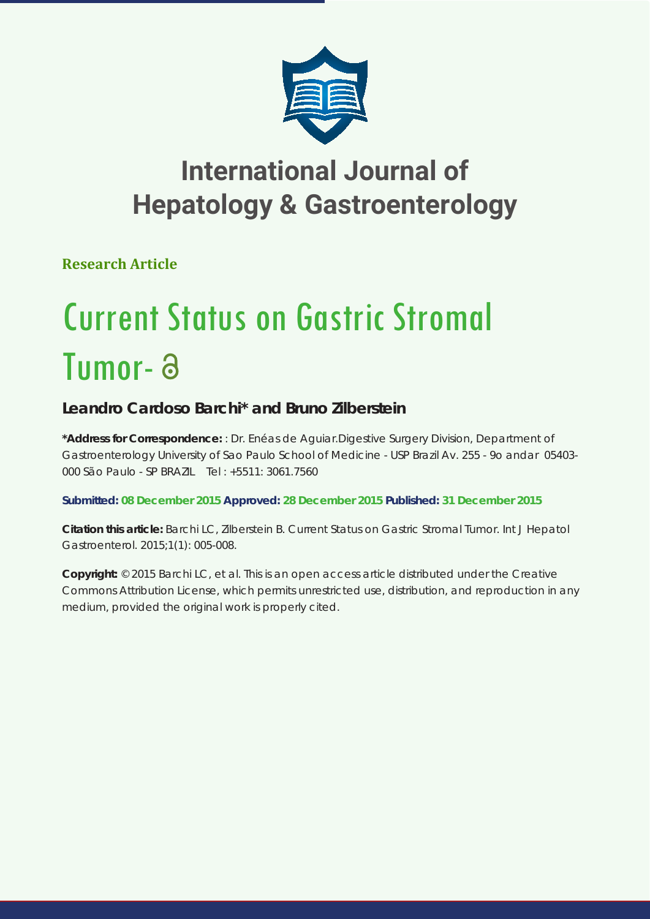

## **International Journal of Hepatology & Gastroenterology**

**Research Article**

# Current Status on Gastric Stromal Tumor-

### **Leandro Cardoso Barchi\* and Bruno Zilberstein**

**\*Address for Correspondence:** : Dr. Enéas de Aguiar.Digestive Surgery Division, Department of Gastroenterology University of Sao Paulo School of Medicine - USP Brazil Av. 255 - 9o andar 05403- 000 São Paulo - SP BRAZIL Tel : +5511: 3061.7560

**Submitted: 08 December 2015 Approved: 28 December 2015 Published: 31 December 2015**

**Citation this article:** Barchi LC, Zilberstein B. Current Status on Gastric Stromal Tumor. Int J Hepatol Gastroenterol. 2015;1(1): 005-008.

**Copyright:** © 2015 Barchi LC, et al. This is an open access article distributed under the Creative Commons Attribution License, which permits unrestricted use, distribution, and reproduction in any medium, provided the original work is properly cited.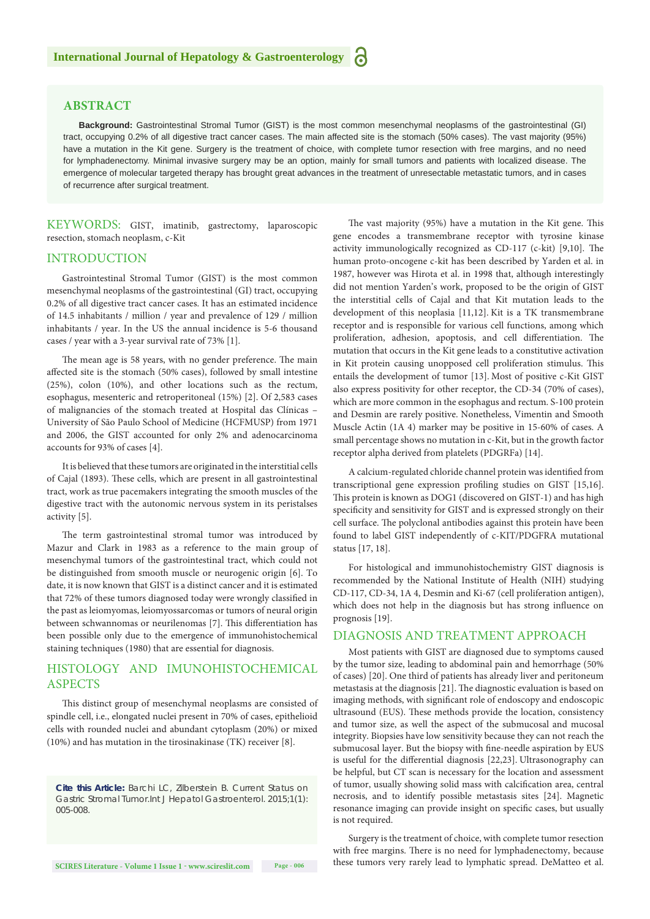#### **ABSTRACT**

**Background:** Gastrointestinal Stromal Tumor (GIST) is the most common mesenchymal neoplasms of the gastrointestinal (GI) tract, occupying 0.2% of all digestive tract cancer cases. The main affected site is the stomach (50% cases). The vast majority (95%) have a mutation in the Kit gene. Surgery is the treatment of choice, with complete tumor resection with free margins, and no need for lymphadenectomy. Minimal invasive surgery may be an option, mainly for small tumors and patients with localized disease. The emergence of molecular targeted therapy has brought great advances in the treatment of unresectable metastatic tumors, and in cases of recurrence after surgical treatment.

KEYWORDS: GIST, imatinib, gastrectomy, laparoscopic resection, stomach neoplasm, c-Kit

#### INTRODUCTION

Gastrointestinal Stromal Tumor (GIST) is the most common mesenchymal neoplasms of the gastrointestinal (GI) tract, occupying 0.2% of all digestive tract cancer cases. It has an estimated incidence of 14.5 inhabitants / million / year and prevalence of 129 / million inhabitants / year. In the US the annual incidence is 5-6 thousand cases / year with a 3-year survival rate of 73% [1].

The mean age is 58 years, with no gender preference. The main affected site is the stomach (50% cases), followed by small intestine (25%), colon (10%), and other locations such as the rectum, esophagus, mesenteric and retroperitoneal (15%) [2]. Of 2,583 cases of malignancies of the stomach treated at Hospital das Clínicas – University of São Paulo School of Medicine (HCFMUSP) from 1971 and 2006, the GIST accounted for only 2% and adenocarcinoma accounts for 93% of cases [4].

It is believed that these tumors are originated in the interstitial cells of Cajal (1893). These cells, which are present in all gastrointestinal tract, work as true pacemakers integrating the smooth muscles of the digestive tract with the autonomic nervous system in its peristalses activity [5].

The term gastrointestinal stromal tumor was introduced by Mazur and Clark in 1983 as a reference to the main group of mesenchymal tumors of the gastrointestinal tract, which could not be distinguished from smooth muscle or neurogenic origin [6]. To date, it is now known that GIST is a distinct cancer and it is estimated that 72% of these tumors diagnosed today were wrongly classified in the past as leiomyomas, leiomyossarcomas or tumors of neural origin between schwannomas or neurilenomas [7]. This differentiation has been possible only due to the emergence of immunohistochemical staining techniques (1980) that are essential for diagnosis.

#### HISTOLOGY AND IMUNOHISTOCHEMICAL ASPECTS

This distinct group of mesenchymal neoplasms are consisted of spindle cell, i.e., elongated nuclei present in 70% of cases, epithelioid cells with rounded nuclei and abundant cytoplasm (20%) or mixed (10%) and has mutation in the tirosinakinase (TK) receiver [8].

*Cite this Article: Barchi LC, Zilberstein B. Current Status on Gastric Stromal Tumor.Int J Hepatol Gastroenterol. 2015;1(1): 005-008.*

The vast majority (95%) have a mutation in the Kit gene. This gene encodes a transmembrane receptor with tyrosine kinase activity immunologically recognized as CD-117 (c-kit) [9,10]. The human proto-oncogene c-kit has been described by Yarden et al. in 1987, however was Hirota et al. in 1998 that, although interestingly did not mention Yarden's work, proposed to be the origin of GIST the interstitial cells of Cajal and that Kit mutation leads to the development of this neoplasia [11,12]. Kit is a TK transmembrane receptor and is responsible for various cell functions, among which proliferation, adhesion, apoptosis, and cell differentiation. The mutation that occurs in the Kit gene leads to a constitutive activation in Kit protein causing unopposed cell proliferation stimulus. This entails the development of tumor [13]. Most of positive c-Kit GIST also express positivity for other receptor, the CD-34 (70% of cases), which are more common in the esophagus and rectum. S-100 protein and Desmin are rarely positive. Nonetheless, Vimentin and Smooth Muscle Actin (1A 4) marker may be positive in 15-60% of cases. A small percentage shows no mutation in c-Kit, but in the growth factor receptor alpha derived from platelets (PDGRFa) [14].

A calcium-regulated chloride channel protein was identified from transcriptional gene expression profiling studies on GIST [15,16]. This protein is known as DOG1 (discovered on GIST-1) and has high specificity and sensitivity for GIST and is expressed strongly on their cell surface. The polyclonal antibodies against this protein have been found to label GIST independently of c-KIT/PDGFRA mutational status [17, 18].

For histological and immunohistochemistry GIST diagnosis is recommended by the National Institute of Health (NIH) studying CD-117, CD-34, 1A 4, Desmin and Ki-67 (cell proliferation antigen), which does not help in the diagnosis but has strong influence on prognosis [19].

#### DIAGNOSIS AND TREATMENT APPROACH

Most patients with GIST are diagnosed due to symptoms caused by the tumor size, leading to abdominal pain and hemorrhage (50% of cases) [20]. One third of patients has already liver and peritoneum metastasis at the diagnosis [21]. The diagnostic evaluation is based on imaging methods, with significant role of endoscopy and endoscopic ultrasound (EUS). These methods provide the location, consistency and tumor size, as well the aspect of the submucosal and mucosal integrity. Biopsies have low sensitivity because they can not reach the submucosal layer. But the biopsy with fine-needle aspiration by EUS is useful for the differential diagnosis [22,23]. Ultrasonography can be helpful, but CT scan is necessary for the location and assessment of tumor, usually showing solid mass with calcification area, central necrosis, and to identify possible metastasis sites [24]. Magnetic resonance imaging can provide insight on specific cases, but usually is not required.

Surgery is the treatment of choice, with complete tumor resection with free margins. There is no need for lymphadenectomy, because these tumors very rarely lead to lymphatic spread. DeMatteo et al.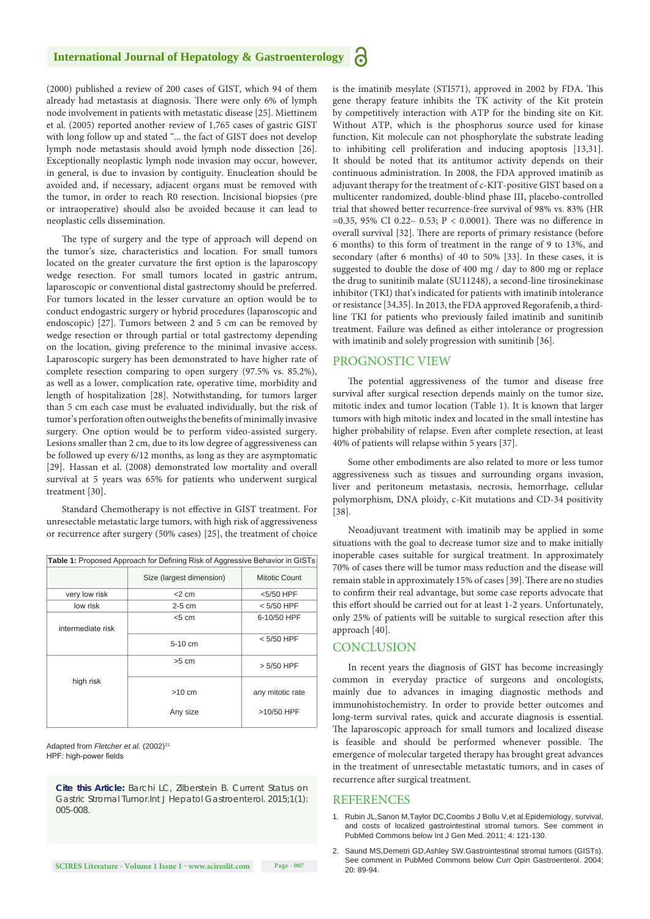#### **International Journal of Hepatology & Gastroenterology**

(2000) published a review of 200 cases of GIST, which 94 of them already had metastasis at diagnosis. There were only 6% of lymph node involvement in patients with metastatic disease [25]. Miettinem et al. (2005) reported another review of 1,765 cases of gastric GIST with long follow up and stated "... the fact of GIST does not develop lymph node metastasis should avoid lymph node dissection [26]. Exceptionally neoplastic lymph node invasion may occur, however, in general, is due to invasion by contiguity. Enucleation should be avoided and, if necessary, adjacent organs must be removed with the tumor, in order to reach R0 resection. Incisional biopsies (pre or intraoperative) should also be avoided because it can lead to neoplastic cells dissemination.

The type of surgery and the type of approach will depend on the tumor's size, characteristics and location. For small tumors located on the greater curvature the first option is the laparoscopy wedge resection. For small tumors located in gastric antrum, laparoscopic or conventional distal gastrectomy should be preferred. For tumors located in the lesser curvature an option would be to conduct endogastric surgery or hybrid procedures (laparoscopic and endoscopic) [27]. Tumors between 2 and 5 cm can be removed by wedge resection or through partial or total gastrectomy depending on the location, giving preference to the minimal invasive access. Laparoscopic surgery has been demonstrated to have higher rate of complete resection comparing to open surgery (97.5% vs. 85.2%), as well as a lower, complication rate, operative time, morbidity and length of hospitalization [28]. Notwithstanding, for tumors larger than 5 cm each case must be evaluated individually, but the risk of tumor's perforation often outweighs the benefits of minimally invasive surgery. One option would be to perform video-assisted surgery. Lesions smaller than 2 cm, due to its low degree of aggressiveness can be followed up every 6/12 months, as long as they are asymptomatic [29]. Hassan et al. (2008) demonstrated low mortality and overall survival at 5 years was 65% for patients who underwent surgical treatment [30].

Standard Chemotherapy is not effective in GIST treatment. For unresectable metastatic large tumors, with high risk of aggressiveness or recurrence after surgery (50% cases) [25], the treatment of choice

| Table 1: Proposed Approach for Defining Risk of Aggressive Behavior in GISTs |                          |                  |
|------------------------------------------------------------------------------|--------------------------|------------------|
|                                                                              | Size (largest dimension) | Mitotic Count    |
| very low risk                                                                | $<$ 2 cm                 | <5/50 HPF        |
| low risk                                                                     | $2-5$ cm                 | $< 5/50$ HPF     |
| intermediate risk                                                            | < 5 cm                   | 6-10/50 HPF      |
|                                                                              | 5-10 cm                  | $< 5/50$ HPF     |
| high risk                                                                    | $>5$ cm                  | > 5/50 HPF       |
|                                                                              | $>10$ cm                 | any mitotic rate |
|                                                                              | Any size                 | $>10/50$ HPF     |

Adapted from *Fletcher et al.* (2002)<sup>21</sup> HPF: high-power fields

*Cite this Article: Barchi LC, Zilberstein B. Current Status on Gastric Stromal Tumor.Int J Hepatol Gastroenterol. 2015;1(1): 005-008.*

is the imatinib mesylate (STI571), approved in 2002 by FDA. This gene therapy feature inhibits the TK activity of the Kit protein by competitively interaction with ATP for the binding site on Kit. Without ATP, which is the phosphorus source used for kinase function, Kit molecule can not phosphorylate the substrate leading to inhibiting cell proliferation and inducing apoptosis [13,31]. It should be noted that its antitumor activity depends on their continuous administration. In 2008, the FDA approved imatinib as adjuvant therapy for the treatment of c-KIT-positive GIST based on a multicenter randomized, double-blind phase III, placebo-controlled trial that showed better recurrence-free survival of 98% vs. 83% (HR =0.35, 95% CI 0.22– 0.53; P < 0.0001). There was no difference in overall survival [32]. There are reports of primary resistance (before 6 months) to this form of treatment in the range of 9 to 13%, and secondary (after 6 months) of 40 to 50% [33]. In these cases, it is suggested to double the dose of 400 mg / day to 800 mg or replace the drug to sunitinib malate (SU11248), a second-line tirosinekinase inhibitor (TKI) that's indicated for patients with imatinib intolerance or resistance [34,35]. In 2013, the FDA approved Regorafenib, a thirdline TKI for patients who previously failed imatinib and sunitinib treatment. Failure was defined as either intolerance or progression with imatinib and solely progression with sunitinib [36].

#### PROGNOSTIC VIEW

The potential aggressiveness of the tumor and disease free survival after surgical resection depends mainly on the tumor size, mitotic index and tumor location (Table 1). It is known that larger tumors with high mitotic index and located in the small intestine has higher probability of relapse. Even after complete resection, at least 40% of patients will relapse within 5 years [37].

Some other embodiments are also related to more or less tumor aggressiveness such as tissues and surrounding organs invasion, liver and peritoneum metastasis, necrosis, hemorrhage, cellular polymorphism, DNA ploidy, c-Kit mutations and CD-34 positivity [38].

Neoadjuvant treatment with imatinib may be applied in some situations with the goal to decrease tumor size and to make initially inoperable cases suitable for surgical treatment. In approximately 70% of cases there will be tumor mass reduction and the disease will remain stable in approximately 15% of cases [39].There are no studies to confirm their real advantage, but some case reports advocate that this effort should be carried out for at least 1-2 years. Unfortunately, only 25% of patients will be suitable to surgical resection after this approach [40].

#### **CONCLUSION**

In recent years the diagnosis of GIST has become increasingly common in everyday practice of surgeons and oncologists, mainly due to advances in imaging diagnostic methods and immunohistochemistry. In order to provide better outcomes and long-term survival rates, quick and accurate diagnosis is essential. The laparoscopic approach for small tumors and localized disease is feasible and should be performed whenever possible. The emergence of molecular targeted therapy has brought great advances in the treatment of unresectable metastatic tumors, and in cases of recurrence after surgical treatment.

#### **REFERENCES**

- 1. [Rubin JL,Sanon M,Taylor DC,Coombs J Bollu V,et al.Epidemiology, survival,](http://www.ncbi.nlm.nih.gov/pubmed/21475624)  [and costs of localized gastrointestinal stromal tumors. See comment in](http://www.ncbi.nlm.nih.gov/pubmed/21475624)  [PubMed Commons below Int J Gen Med. 2011; 4: 121-130.](http://www.ncbi.nlm.nih.gov/pubmed/21475624)
- 2. [Saund MS,Demetri GD,Ashley SW.Gastrointestinal stromal tumors \(GISTs\).](http://www.ncbi.nlm.nih.gov/pubmed/15703627)  [See comment in PubMed Commons below Curr Opin Gastroenterol. 2004;](http://www.ncbi.nlm.nih.gov/pubmed/15703627)  [20: 89-94.](http://www.ncbi.nlm.nih.gov/pubmed/15703627)